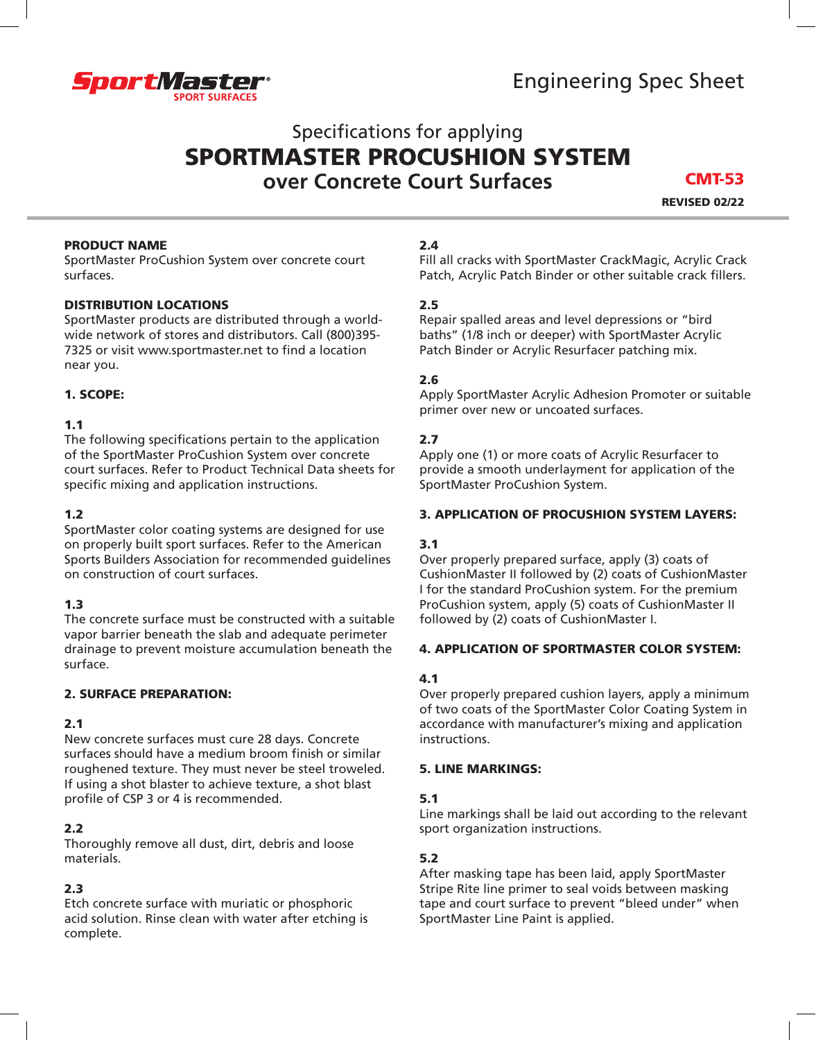

Engineering Spec Sheet

# Specifications for applying SPORTMASTER PROCUSHION SYSTEM **over Concrete Court Surfaces**

REVISED 02/22 CMT-53

#### PRODUCT NAME

SportMaster ProCushion System over concrete court surfaces.

#### DISTRIBUTION LOCATIONS

SportMaster products are distributed through a worldwide network of stores and distributors. Call (800)395- 7325 or visit www.sportmaster.net to find a location near you.

#### 1. SCOPE:

#### 1.1

The following specifications pertain to the application of the SportMaster ProCushion System over concrete court surfaces. Refer to Product Technical Data sheets for specific mixing and application instructions.

# 1.2

SportMaster color coating systems are designed for use on properly built sport surfaces. Refer to the American Sports Builders Association for recommended guidelines on construction of court surfaces.

## 1.3

The concrete surface must be constructed with a suitable vapor barrier beneath the slab and adequate perimeter drainage to prevent moisture accumulation beneath the surface.

## 2. SURFACE PREPARATION:

## 2.1

New concrete surfaces must cure 28 days. Concrete surfaces should have a medium broom finish or similar roughened texture. They must never be steel troweled. If using a shot blaster to achieve texture, a shot blast profile of CSP 3 or 4 is recommended.

## 2.2

Thoroughly remove all dust, dirt, debris and loose materials.

## 2.3

Etch concrete surface with muriatic or phosphoric acid solution. Rinse clean with water after etching is complete.

# 2.4

Fill all cracks with SportMaster CrackMagic, Acrylic Crack Patch, Acrylic Patch Binder or other suitable crack fillers.

## 2.5

Repair spalled areas and level depressions or "bird baths" (1/8 inch or deeper) with SportMaster Acrylic Patch Binder or Acrylic Resurfacer patching mix.

#### 2.6

Apply SportMaster Acrylic Adhesion Promoter or suitable primer over new or uncoated surfaces.

## 2.7

Apply one (1) or more coats of Acrylic Resurfacer to provide a smooth underlayment for application of the SportMaster ProCushion System.

#### 3. APPLICATION OF PROCUSHION SYSTEM LAYERS:

## 3.1

Over properly prepared surface, apply (3) coats of CushionMaster II followed by (2) coats of CushionMaster I for the standard ProCushion system. For the premium ProCushion system, apply (5) coats of CushionMaster II followed by (2) coats of CushionMaster I.

#### 4. APPLICATION OF SPORTMASTER COLOR SYSTEM:

## 4.1

Over properly prepared cushion layers, apply a minimum of two coats of the SportMaster Color Coating System in accordance with manufacturer's mixing and application instructions.

#### 5. LINE MARKINGS:

## 5.1

Line markings shall be laid out according to the relevant sport organization instructions.

## 5.2

After masking tape has been laid, apply SportMaster Stripe Rite line primer to seal voids between masking tape and court surface to prevent "bleed under" when SportMaster Line Paint is applied.